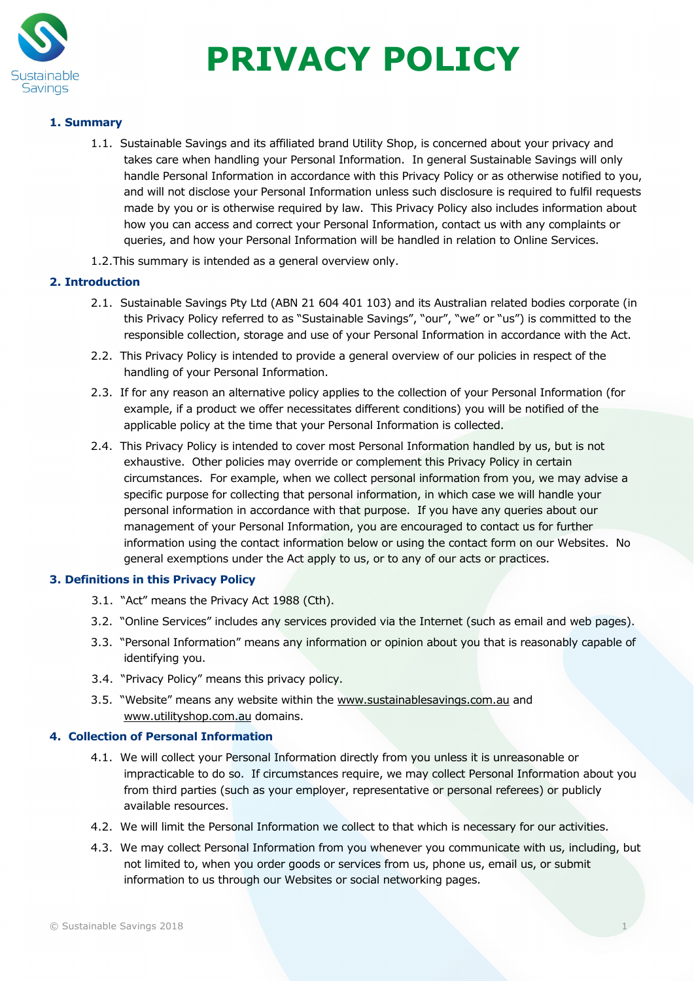

# **PRIVACY POLICY**

# **1. Summary**

- 1.1. Sustainable Savings and its affiliated brand Utility Shop, is concerned about your privacy and takes care when handling your Personal Information. In general Sustainable Savings will only handle Personal Information in accordance with this Privacy Policy or as otherwise notified to you, and will not disclose your Personal Information unless such disclosure is required to fulfil requests made by you or is otherwise required by law. This Privacy Policy also includes information about how you can access and correct your Personal Information, contact us with any complaints or queries, and how your Personal Information will be handled in relation to Online Services.
- 1.2.This summary is intended as a general overview only.

# **2. Introduction**

- 2.1. Sustainable Savings Pty Ltd (ABN 21 604 401 103) and its Australian related bodies corporate (in this Privacy Policy referred to as "Sustainable Savings", "our", "we" or "us") is committed to the responsible collection, storage and use of your Personal Information in accordance with the Act.
- 2.2. This Privacy Policy is intended to provide a general overview of our policies in respect of the handling of your Personal Information.
- 2.3. If for any reason an alternative policy applies to the collection of your Personal Information (for example, if a product we offer necessitates different conditions) you will be notified of the applicable policy at the time that your Personal Information is collected.
- 2.4. This Privacy Policy is intended to cover most Personal Information handled by us, but is not exhaustive. Other policies may override or complement this Privacy Policy in certain circumstances. For example, when we collect personal information from you, we may advise a specific purpose for collecting that personal information, in which case we will handle your personal information in accordance with that purpose. If you have any queries about our management of your Personal Information, you are encouraged to contact us for further information using the contact information below or using the contact form on our Websites. No general exemptions under the Act apply to us, or to any of our acts or practices.

# **3. Definitions in this Privacy Policy**

- 3.1. "Act" means the Privacy Act 1988 (Cth).
- 3.2. "Online Services" includes any services provided via the Internet (such as email and web pages).
- 3.3. "Personal Information" means any information or opinion about you that is reasonably capable of identifying you.
- 3.4. "Privacy Policy" means this privacy policy.
- 3.5. "Website" means any website within the [www.sustainablesavings.com.au](http://www.sustainablesavings.com.au/) and [www.utilityshop.com.au](http://www.utilityshop.com.au/) domains.

# **4. Collection of Personal Information**

- 4.1. We will collect your Personal Information directly from you unless it is unreasonable or impracticable to do so. If circumstances require, we may collect Personal Information about you from third parties (such as your employer, representative or personal referees) or publicly available resources.
- 4.2. We will limit the Personal Information we collect to that which is necessary for our activities.
- 4.3. We may collect Personal Information from you whenever you communicate with us, including, but not limited to, when you order goods or services from us, phone us, email us, or submit information to us through our Websites or social networking pages.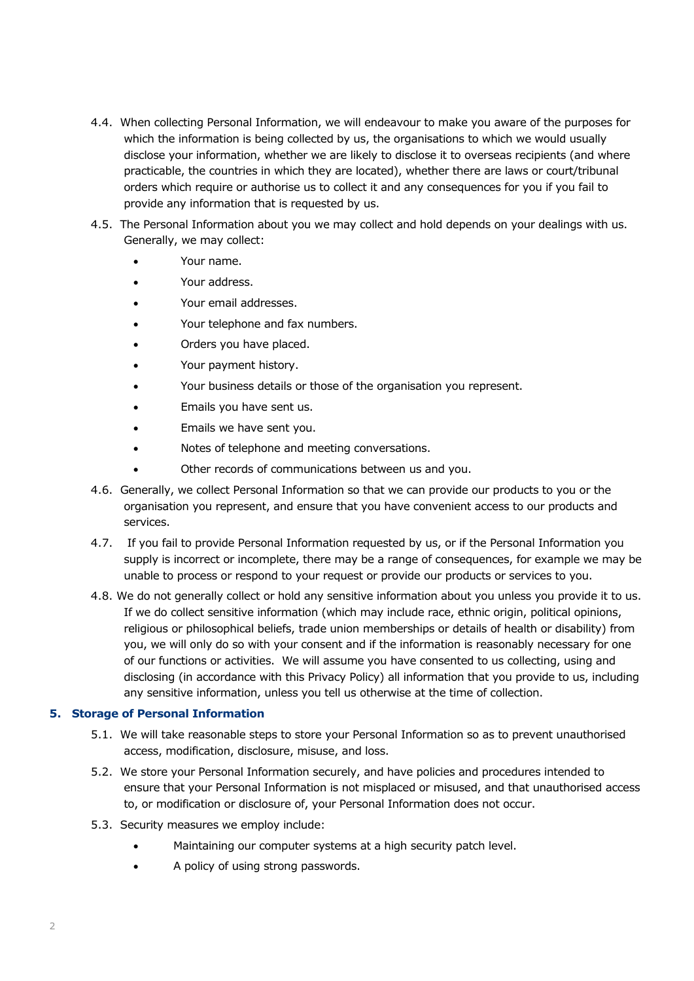- 4.4. When collecting Personal Information, we will endeavour to make you aware of the purposes for which the information is being collected by us, the organisations to which we would usually disclose your information, whether we are likely to disclose it to overseas recipients (and where practicable, the countries in which they are located), whether there are laws or court/tribunal orders which require or authorise us to collect it and any consequences for you if you fail to provide any information that is requested by us.
- 4.5. The Personal Information about you we may collect and hold depends on your dealings with us. Generally, we may collect:
	- Your name.
	- Your address.
	- Your email addresses.
	- Your telephone and fax numbers.
	- Orders you have placed.
	- Your payment history.
	- Your business details or those of the organisation you represent.
	- Emails you have sent us.
	- Emails we have sent you.
	- Notes of telephone and meeting conversations.
	- Other records of communications between us and you.
- 4.6. Generally, we collect Personal Information so that we can provide our products to you or the organisation you represent, and ensure that you have convenient access to our products and services.
- 4.7. If you fail to provide Personal Information requested by us, or if the Personal Information you supply is incorrect or incomplete, there may be a range of consequences, for example we may be unable to process or respond to your request or provide our products or services to you.
- 4.8. We do not generally collect or hold any sensitive information about you unless you provide it to us. If we do collect sensitive information (which may include race, ethnic origin, political opinions, religious or philosophical beliefs, trade union memberships or details of health or disability) from you, we will only do so with your consent and if the information is reasonably necessary for one of our functions or activities. We will assume you have consented to us collecting, using and disclosing (in accordance with this Privacy Policy) all information that you provide to us, including any sensitive information, unless you tell us otherwise at the time of collection.

# **5. Storage of Personal Information**

- 5.1. We will take reasonable steps to store your Personal Information so as to prevent unauthorised access, modification, disclosure, misuse, and loss.
- 5.2. We store your Personal Information securely, and have policies and procedures intended to ensure that your Personal Information is not misplaced or misused, and that unauthorised access to, or modification or disclosure of, your Personal Information does not occur.
- 5.3. Security measures we employ include:
	- Maintaining our computer systems at a high security patch level.
	- A policy of using strong passwords.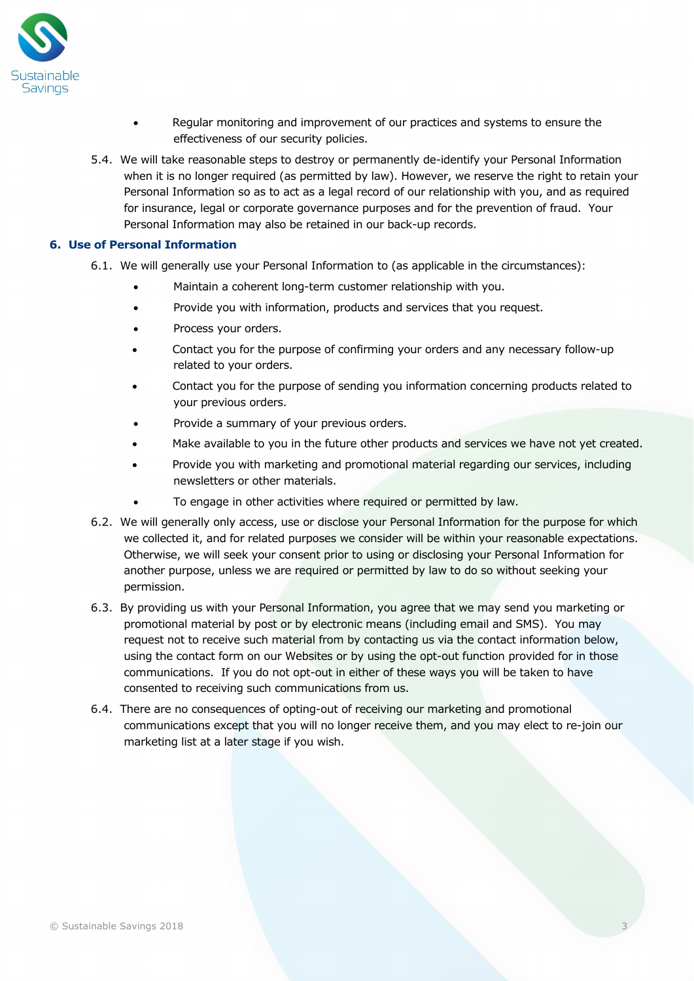

- Regular monitoring and improvement of our practices and systems to ensure the effectiveness of our security policies.
- 5.4. We will take reasonable steps to destroy or permanently de-identify your Personal Information when it is no longer required (as permitted by law). However, we reserve the right to retain your Personal Information so as to act as a legal record of our relationship with you, and as required for insurance, legal or corporate governance purposes and for the prevention of fraud. Your Personal Information may also be retained in our back-up records.

## **6. Use of Personal Information**

- 6.1. We will generally use your Personal Information to (as applicable in the circumstances):
	- Maintain a coherent long-term customer relationship with you.
	- Provide you with information, products and services that you request.
	- Process your orders.
	- Contact you for the purpose of confirming your orders and any necessary follow-up related to your orders.
	- Contact you for the purpose of sending you information concerning products related to your previous orders.
	- Provide a summary of your previous orders.
	- Make available to you in the future other products and services we have not yet created.
	- Provide you with marketing and promotional material regarding our services, including newsletters or other materials.
	- To engage in other activities where required or permitted by law.
- 6.2. We will generally only access, use or disclose your Personal Information for the purpose for which we collected it, and for related purposes we consider will be within your reasonable expectations. Otherwise, we will seek your consent prior to using or disclosing your Personal Information for another purpose, unless we are required or permitted by law to do so without seeking your permission.
- 6.3. By providing us with your Personal Information, you agree that we may send you marketing or promotional material by post or by electronic means (including email and SMS). You may request not to receive such material from by contacting us via the contact information below, using the contact form on our Websites or by using the opt-out function provided for in those communications. If you do not opt-out in either of these ways you will be taken to have consented to receiving such communications from us.
- 6.4. There are no consequences of opting-out of receiving our marketing and promotional communications except that you will no longer receive them, and you may elect to re-join our marketing list at a later stage if you wish.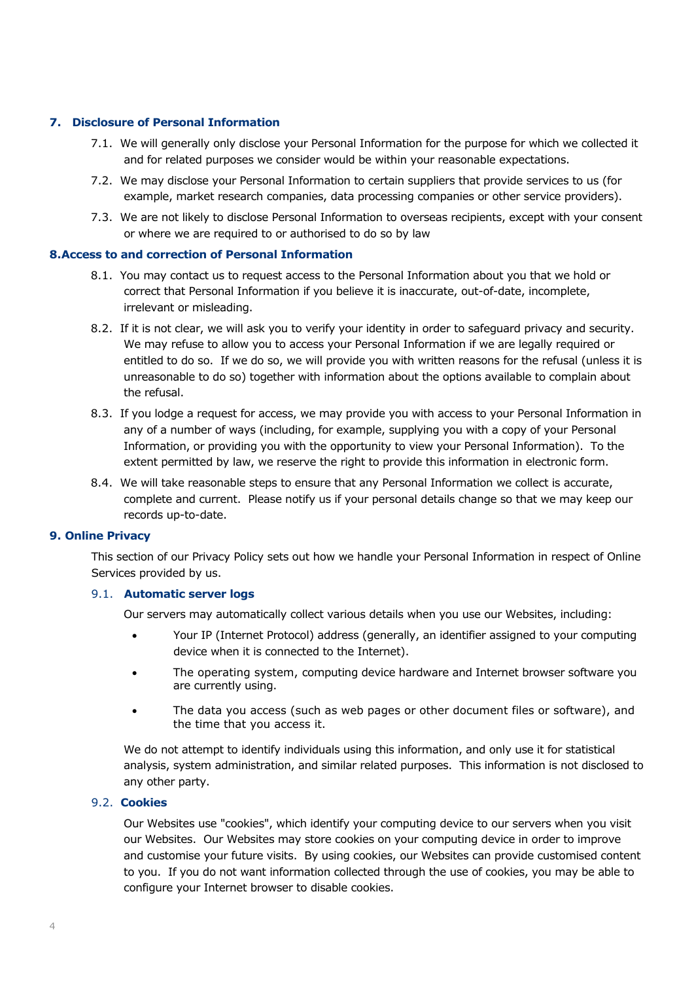## **7. Disclosure of Personal Information**

- 7.1. We will generally only disclose your Personal Information for the purpose for which we collected it and for related purposes we consider would be within your reasonable expectations.
- 7.2. We may disclose your Personal Information to certain suppliers that provide services to us (for example, market research companies, data processing companies or other service providers).
- 7.3. We are not likely to disclose Personal Information to overseas recipients, except with your consent or where we are required to or authorised to do so by law

#### **8.Access to and correction of Personal Information**

- 8.1. You may contact us to request access to the Personal Information about you that we hold or correct that Personal Information if you believe it is inaccurate, out-of-date, incomplete, irrelevant or misleading.
- 8.2. If it is not clear, we will ask you to verify your identity in order to safeguard privacy and security. We may refuse to allow you to access your Personal Information if we are legally required or entitled to do so. If we do so, we will provide you with written reasons for the refusal (unless it is unreasonable to do so) together with information about the options available to complain about the refusal.
- 8.3. If you lodge a request for access, we may provide you with access to your Personal Information in any of a number of ways (including, for example, supplying you with a copy of your Personal Information, or providing you with the opportunity to view your Personal Information). To the extent permitted by law, we reserve the right to provide this information in electronic form.
- 8.4. We will take reasonable steps to ensure that any Personal Information we collect is accurate, complete and current. Please notify us if your personal details change so that we may keep our records up-to-date.

#### **9. Online Privacy**

This section of our Privacy Policy sets out how we handle your Personal Information in respect of Online Services provided by us.

#### 9.1. **Automatic server logs**

Our servers may automatically collect various details when you use our Websites, including:

- Your IP (Internet Protocol) address (generally, an identifier assigned to your computing device when it is connected to the Internet).
- The operating system, computing device hardware and Internet browser software you are currently using.
- The data you access (such as web pages or other document files or software), and the time that you access it.

We do not attempt to identify individuals using this information, and only use it for statistical analysis, system administration, and similar related purposes. This information is not disclosed to any other party.

#### 9.2. **Cookies**

Our Websites use "cookies", which identify your computing device to our servers when you visit our Websites. Our Websites may store cookies on your computing device in order to improve and customise your future visits. By using cookies, our Websites can provide customised content to you. If you do not want information collected through the use of cookies, you may be able to configure your Internet browser to disable cookies.